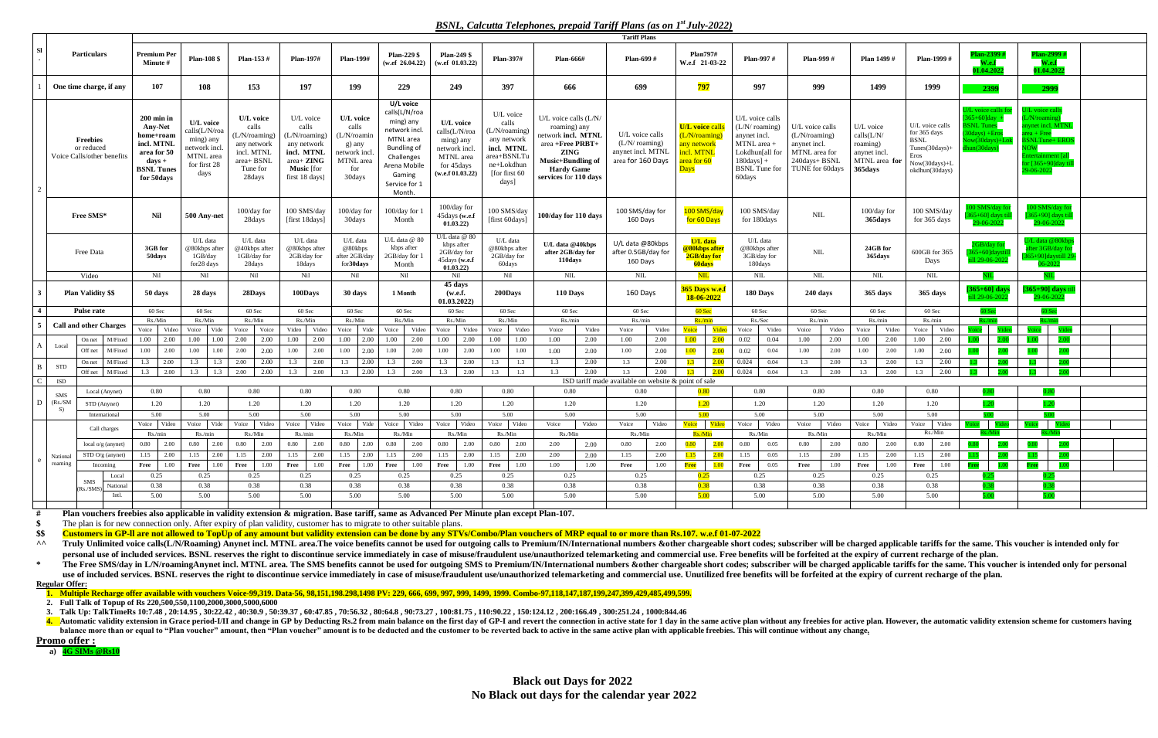## *BSNL, Calcutta Telephones, prepaid Tariff Plans (as on 1 st July-2022)*

|                                                             |                                |                                                                                                                             |                                                                                               |                                                                                                      |                                                                                                                                |                                                                                             |                                                                                                                                                                |                                                                                                        |                                                                                                                         |                                                                                                                                                                     | <b>Tariff Plans</b>                                                        |                                                                                                               |                                                                                                                                                |                                                                                                       |                                                                                 |                                                                                                                 |                                                                                                          |                                                                                                                                                                               |  |
|-------------------------------------------------------------|--------------------------------|-----------------------------------------------------------------------------------------------------------------------------|-----------------------------------------------------------------------------------------------|------------------------------------------------------------------------------------------------------|--------------------------------------------------------------------------------------------------------------------------------|---------------------------------------------------------------------------------------------|----------------------------------------------------------------------------------------------------------------------------------------------------------------|--------------------------------------------------------------------------------------------------------|-------------------------------------------------------------------------------------------------------------------------|---------------------------------------------------------------------------------------------------------------------------------------------------------------------|----------------------------------------------------------------------------|---------------------------------------------------------------------------------------------------------------|------------------------------------------------------------------------------------------------------------------------------------------------|-------------------------------------------------------------------------------------------------------|---------------------------------------------------------------------------------|-----------------------------------------------------------------------------------------------------------------|----------------------------------------------------------------------------------------------------------|-------------------------------------------------------------------------------------------------------------------------------------------------------------------------------|--|
| SI                                                          | <b>Particulars</b>             | <b>Premium Per</b><br><b>Minute #</b>                                                                                       | <b>Plan-108 \$</b>                                                                            | Plan-153 #                                                                                           | <b>Plan-197#</b>                                                                                                               | <b>Plan-199#</b>                                                                            | <b>Plan-229 \$</b><br>(w.ef 26.04.22)                                                                                                                          | <b>Plan-249 \$</b><br>(w.ef $01.03.22$ )                                                               | <b>Plan-397#</b>                                                                                                        | <b>Plan-666#</b>                                                                                                                                                    | Plan-699 #                                                                 | <b>Plan797#</b><br>W.e.f 21-03-22                                                                             | <b>Plan-997#</b>                                                                                                                               | Plan-999 #                                                                                            | Plan 1499#                                                                      | Plan-1999 #                                                                                                     | Plan-2399<br>01.04.202                                                                                   | Plan-2999<br>W.e.f<br>01.04.202                                                                                                                                               |  |
| One time charge, if any                                     |                                | 107                                                                                                                         | 108                                                                                           | 153                                                                                                  | 197                                                                                                                            | 199                                                                                         | 229                                                                                                                                                            | 249                                                                                                    | 397                                                                                                                     | 666                                                                                                                                                                 | 699                                                                        | <mark>797</mark>                                                                                              | 997                                                                                                                                            | 999                                                                                                   | 1499                                                                            | 1999                                                                                                            | 2399                                                                                                     | 2999                                                                                                                                                                          |  |
| <b>Freebies</b><br>or reduced<br>Voice Calls/other benefits |                                | $200$ min in<br><b>Any-Net</b><br>home+roam<br>incl. MTNL<br>area for 50<br>$\bf days$ +<br><b>BSNL Tunes</b><br>for 50days | U/L voice<br>calls(L/N/roa<br>ming) any<br>network incl.<br>MTNL area<br>for first 28<br>days | U/L voice<br>calls<br>(L/N/roaming)<br>any network<br>incl. MTNL<br>area+ BSNL<br>Tune for<br>28days | U/L voice<br>calls<br>(L/N/roaming)<br>any network<br>incl. MTNL<br>area+ ZING<br><b>Music</b> [for<br>first $18 \text{ days}$ | U/L voice<br>calls<br>(L/N/roamin)<br>g) any<br>network incl.<br>MTNL area<br>for<br>30days | U/L voice<br>calls(L/N/roa<br>ming) any<br>network incl.<br>MTNL area<br><b>Bundling of</b><br>Challenges<br>Arena Mobile<br>Gaming<br>Service for 1<br>Month. | U/L voice<br>calls(L/N/roa<br>ming) any<br>network incl<br>MTNL area<br>for 45days<br>(w.e.f 01.03.22) | U/L voice<br>calls<br>(L/N/roaming)<br>any network<br>incl. MTNL<br>area+BSNLT<br>ne+Lokdhun<br>[for first 60]<br>days] | U/L voice calls $(L/N/$<br>roaming) any<br>network incl. MTNL<br>area +Free PRBT+<br><b>ZING</b><br>Music+Bundling of<br><b>Hardy Game</b><br>services for 110 days | U/L voice calls<br>(L/N/roaming)<br>anynet incl. MTNL<br>area for 160 Days | <b>U/L</b> voice calls<br>(L/N/roamin<br><mark>any network</mark><br>incl. MTNI<br>area for 60<br><b>Days</b> | U/L voice calls<br>(L/N/ roaming)<br>anynet incl.<br>MTNL area +<br>Lokdhun[all for<br>$180 \text{days}$ ] +<br><b>BSNL</b> Tune for<br>60days | U/L voice calls<br>(L/N/roaming)<br>anynet incl.<br>MTNL area for<br>240days+ BSNL<br>TUNE for 60days | U/L voice<br>calls(L/N/<br>roaming)<br>anynet incl.<br>MTNL area for<br>365days | U/L voice calls<br>for 365 days<br><b>BSNL</b><br>$Tunes(30 days) +$<br>Eros<br>Now(30days)+L<br>okdhun(30days) | U/L voice calls f<br>$[365+60]$ day<br><b>BSNL</b> Tunes<br>30days) +Erc<br>Now(30days)-<br>hun(30 days) | U/L voice call<br>(L/N/roamin)<br>anynet incl. MTNL<br>$area + Free$<br><b>BSNLTune+ EROS</b><br><b>NOW</b><br><b>Entertainment</b> la<br>for $[365+90]$ day ti<br>29-06-2022 |  |
|                                                             | Free SMS*                      | <b>Nil</b>                                                                                                                  | 500 Any-net                                                                                   | 100/day for<br>28days                                                                                | 100 SMS/day<br>[first 18days]                                                                                                  | 100/day for<br>30days                                                                       | 100/day for 1<br>Month                                                                                                                                         | 100/day for<br>45days (w.e.f<br>01.03.22)                                                              | 100 SMS/day<br>[first 60days]                                                                                           | 100/day for 110 days                                                                                                                                                | 100 SMS/day for<br>160 Days                                                | 100 SMS/day<br>for 60 Days                                                                                    | 100 SMS/day<br>for 180days                                                                                                                     | <b>NIL</b>                                                                                            | 100/day for<br>365days                                                          | 100 SMS/day<br>for 365 days                                                                                     | 100 SMS/day f<br>$65 + 60$ days t<br>29-06-202                                                           | 100 SMS/day fo<br>$365+90$ ] days ti<br>29-06-202                                                                                                                             |  |
|                                                             | Free Data                      | 3GB for<br>50days                                                                                                           | U/L data<br>@80kbps afte<br>1GB/day<br>for28 days                                             | U/L data<br>@40kbps after<br>1GB/day for<br>28days                                                   | U/L data<br>@80kbps after<br>2GB/day for<br>18days                                                                             | U/L data<br>@80kbps<br>after 2GB/day<br>for 30 days                                         | U/L data $@$ 80<br>kbps after<br>2GB/day for 1<br>Month                                                                                                        | J/L data @ 80<br>kbps after<br>2GB/day for<br>45days (w.e.f<br>01.03.22)                               | U/L data<br>@80kbps after<br>2GB/day for<br>60days                                                                      | U/L data @40kbps<br>after 2GB/day for<br>110days                                                                                                                    | U/L data @80kbps<br>after 0.5GB/day for<br>160 Days                        | <b>U/L</b> data<br>@80kbps after<br>2GB/day for<br><b>60days</b>                                              | U/L data<br>@80kbps after<br>3GB/day for<br>180days                                                                                            | <b>NIL</b>                                                                                            | 24GB for<br>365days                                                             | 600GB for 365<br>Days                                                                                           | 2GB/day fo<br>$5+60$ ldavs<br>11 29-06-20                                                                | U/L data @80kbp:<br>fter 3GB/day f<br>365+90]daystill 2<br>06-2022                                                                                                            |  |
|                                                             |                                |                                                                                                                             |                                                                                               |                                                                                                      |                                                                                                                                |                                                                                             |                                                                                                                                                                |                                                                                                        |                                                                                                                         |                                                                                                                                                                     |                                                                            |                                                                                                               |                                                                                                                                                |                                                                                                       |                                                                                 |                                                                                                                 |                                                                                                          |                                                                                                                                                                               |  |
|                                                             | Video                          | Nil                                                                                                                         | Nil                                                                                           | Nil                                                                                                  | Nil                                                                                                                            | Nil                                                                                         | Nil                                                                                                                                                            | Nil                                                                                                    | Nil                                                                                                                     | NIL                                                                                                                                                                 | $\text{NIL}$                                                               | $\overline{\text{NIL}}$                                                                                       | $\mbox{NIL}$                                                                                                                                   | $\mbox{NIL}$                                                                                          | <b>NIL</b>                                                                      | $\text{NIL}$                                                                                                    |                                                                                                          |                                                                                                                                                                               |  |
|                                                             | <b>Plan Validity \$\$</b>      | 50 days                                                                                                                     | 28 days                                                                                       | 28Days                                                                                               | 100Days                                                                                                                        | 30 days                                                                                     | 1 Month                                                                                                                                                        | 45 days<br>(w.e.f.<br>01.03.2022                                                                       | 200Days                                                                                                                 | 110 Days                                                                                                                                                            | 160 Days                                                                   | <b>365 Days w.e.</b><br><b>18-06-2022</b>                                                                     | 180 Days                                                                                                                                       | 240 days                                                                                              | 365 days                                                                        | 365 days                                                                                                        | $[365+60]$ days<br>11 29-06-202                                                                          | [ $365+90$ ] days ti<br>29-06-202                                                                                                                                             |  |
|                                                             | <b>Pulse rate</b>              | 60 Sec                                                                                                                      | 60 Sec                                                                                        | 60 Sec                                                                                               | 60 Sec                                                                                                                         | 60 Sec                                                                                      | 60 Sec                                                                                                                                                         | 60 Sec                                                                                                 | 60 Sec                                                                                                                  | 60 Sec                                                                                                                                                              | 60 Sec                                                                     | $60$ Sec                                                                                                      | 60 Sec                                                                                                                                         | 60 Sec                                                                                                | 60 Sec                                                                          | 60 Sec                                                                                                          | 60 Sec                                                                                                   | 60 Sec                                                                                                                                                                        |  |
|                                                             |                                | Rs./Min                                                                                                                     | Rs./Min                                                                                       | Rs./Min                                                                                              | Rs./Min                                                                                                                        | Rs./Min                                                                                     | Rs./Min                                                                                                                                                        | Rs./Min                                                                                                | Rs./Min                                                                                                                 | Rs./min                                                                                                                                                             | Rs/min                                                                     | Rs/min                                                                                                        | Rs./Sec                                                                                                                                        | Rs/min                                                                                                | Rs./min                                                                         | Rs./min                                                                                                         |                                                                                                          | $\mathcal{K}_S/\text{min}$                                                                                                                                                    |  |
|                                                             | <b>Call and other Charges</b>  | Voice<br>Video                                                                                                              | Voice  <br>Vide                                                                               | Voice<br>Voice                                                                                       | Video<br>Video                                                                                                                 | Vide<br>Voice                                                                               | Video<br>Voice                                                                                                                                                 | Video<br>Voice                                                                                         | Voice<br>Video                                                                                                          | Voice<br>Video                                                                                                                                                      | Video<br>Voice                                                             | Voice<br>Video                                                                                                | Video<br>Voice                                                                                                                                 | Video<br>Voice                                                                                        | Video<br>Voice                                                                  | Voice<br>Video                                                                                                  |                                                                                                          |                                                                                                                                                                               |  |
|                                                             |                                |                                                                                                                             |                                                                                               |                                                                                                      |                                                                                                                                |                                                                                             |                                                                                                                                                                |                                                                                                        |                                                                                                                         |                                                                                                                                                                     |                                                                            |                                                                                                               |                                                                                                                                                |                                                                                                       |                                                                                 |                                                                                                                 |                                                                                                          |                                                                                                                                                                               |  |
| Local                                                       | M/Fixed<br>On net              | 1.00<br>2.00                                                                                                                | 1.00<br>1.00                                                                                  | 2.00<br>2.00                                                                                         | 1.00<br>2.00                                                                                                                   | 2.00<br>1.00                                                                                | 1.00<br>2.00                                                                                                                                                   | 1.00<br>2.00                                                                                           | 1.00<br>1.00                                                                                                            | 1.00<br>2.00                                                                                                                                                        | 2.00<br>1.00                                                               | 1.00<br>2.00                                                                                                  | 0.02<br>0.04                                                                                                                                   | 2.00<br>1.00                                                                                          | 2.00<br>1.00                                                                    | 1.00<br>2.00                                                                                                    |                                                                                                          |                                                                                                                                                                               |  |
|                                                             | Off net<br>M/Fixed             | 1.00<br>2.00                                                                                                                | 1.00<br>1.00                                                                                  | 2.00<br>2.00                                                                                         | 2.00<br>1.00                                                                                                                   | 2.00<br>1.00                                                                                | 1.00<br>2.00                                                                                                                                                   | 2.00<br>1.00                                                                                           | 1.00<br>1.00                                                                                                            | 1.00<br>2.00                                                                                                                                                        | 1.00<br>2.00                                                               | 1.00<br>2.00                                                                                                  | 0.02<br>0.04                                                                                                                                   | 1.00<br>2.00                                                                                          | 2.00<br>1.00                                                                    | 1.00<br>2.00                                                                                                    |                                                                                                          |                                                                                                                                                                               |  |
|                                                             |                                |                                                                                                                             |                                                                                               |                                                                                                      | On net   M/Fixed   1.3   2.00   1.3   1.3   2.00   2.00   1.3   2.00                                                           |                                                                                             | $1.3$   $2.00$   $1.3$   $2.00$   $1.3$   $2.00$   $1.3$                                                                                                       |                                                                                                        | 1.3                                                                                                                     | 2.00<br>1.3                                                                                                                                                         | 2.00<br>1.3                                                                | $\overline{1}$ $\overline{3}$<br>1.3                                                                          | $2.00$ 0.024<br>0.04                                                                                                                           | 2.00<br>1.3                                                                                           | 1.3 2.00                                                                        |                                                                                                                 |                                                                                                          | 1.3 2.00 1.3 2.00 1.3 2.00                                                                                                                                                    |  |
|                                                             | Off net M/Fixed                | 2.00<br>1.3                                                                                                                 | 1.3<br>1.3                                                                                    | 2.00<br>2.00                                                                                         | 2.00<br>1.3                                                                                                                    | 2.00<br>1.3                                                                                 | 2.00<br>1.3                                                                                                                                                    | 2.00<br>1.3                                                                                            | 1.3<br>1.3                                                                                                              | 1.3<br>2.00                                                                                                                                                         | 2.00                                                                       | 2.00                                                                                                          | 0.024<br>0.04                                                                                                                                  | 2.00<br>1.3                                                                                           | 2.00<br>1.3                                                                     | 2.00<br>1.3                                                                                                     |                                                                                                          |                                                                                                                                                                               |  |
| $\mathsf{C}$<br>ISD                                         |                                |                                                                                                                             |                                                                                               |                                                                                                      |                                                                                                                                |                                                                                             |                                                                                                                                                                |                                                                                                        |                                                                                                                         |                                                                                                                                                                     | ISD tariff made available on website & point of sale                       |                                                                                                               |                                                                                                                                                |                                                                                                       |                                                                                 |                                                                                                                 |                                                                                                          |                                                                                                                                                                               |  |
| SMS<br>$D$ (Rs./SM                                          | Local (Anynet)                 | $0.80\,$                                                                                                                    | $0.80\,$                                                                                      | 0.80                                                                                                 | 0.80                                                                                                                           | 0.80                                                                                        | 0.80                                                                                                                                                           | 0.80                                                                                                   | $0.80\,$                                                                                                                | 0.80                                                                                                                                                                | 0.80                                                                       | $\overline{\textbf{0.80}}$                                                                                    | 0.80                                                                                                                                           | 0.80                                                                                                  | 0.80                                                                            | 0.80                                                                                                            | 0.80                                                                                                     | 0.80                                                                                                                                                                          |  |
| S)                                                          | STD (Anynet)                   | 1.20                                                                                                                        | 1.20                                                                                          | 1.20                                                                                                 | 1.20                                                                                                                           | 1.20                                                                                        | 1.20                                                                                                                                                           | 1.20                                                                                                   | 1.20                                                                                                                    | 1.20                                                                                                                                                                | 1.20                                                                       | 1.20                                                                                                          | 1.20                                                                                                                                           | 1.20                                                                                                  | 1.20                                                                            | 1.20                                                                                                            |                                                                                                          |                                                                                                                                                                               |  |
|                                                             | International                  | 5.00                                                                                                                        | 5.00                                                                                          | 5.00                                                                                                 | 5.00                                                                                                                           | 5.00                                                                                        | 5.00                                                                                                                                                           | 5.00                                                                                                   | 5.00                                                                                                                    | 5.00                                                                                                                                                                | 5.00                                                                       | 5.00                                                                                                          | 5.00                                                                                                                                           | 5.00                                                                                                  | 5.00                                                                            | 5.00                                                                                                            |                                                                                                          |                                                                                                                                                                               |  |
|                                                             | Call charges                   | Voice Video<br>Rs./min                                                                                                      | Voice Vide                                                                                    | Voice Video<br>Rs./Min                                                                               | Voice Video                                                                                                                    | Voice Vide                                                                                  | Voice Video                                                                                                                                                    | Voice Video<br>Rs./Min                                                                                 | Voice Video                                                                                                             | Voice<br>Video                                                                                                                                                      | Video<br>Voice                                                             | Voice Video                                                                                                   | Voice<br>Video                                                                                                                                 | Video<br>Voice                                                                                        | Voice Video                                                                     | Voice Video<br>Rs./Min                                                                                          | Voice<br>ks./Min                                                                                         | Voice<br>Rs./Min                                                                                                                                                              |  |
|                                                             | local $o/g$ (anynet)           | 0.80<br>2.00                                                                                                                | Rs./min<br>0.80<br>2.00                                                                       | 2.00<br>0.80                                                                                         | Rs./min<br>0.80<br>2.00                                                                                                        | Rs./Min<br>2.00<br>$0.80\,$                                                                 | Rs./Min<br>2.00<br>0.80                                                                                                                                        | 0.80<br>2.00                                                                                           | Rs./Min<br>0.80<br>2.00                                                                                                 | Rs./Min<br>2.00<br>2.00                                                                                                                                             | Rs./Min<br>0.80<br>2.00                                                    | Rs./Min<br>0.80<br>2.00                                                                                       | Rs./Min<br>0.80<br>0.05                                                                                                                        | Rs./Min<br>2.00<br>0.80                                                                               | Rs./Min<br>0.80<br>2.00                                                         | 0.80<br>2.00                                                                                                    |                                                                                                          |                                                                                                                                                                               |  |
|                                                             |                                |                                                                                                                             |                                                                                               |                                                                                                      |                                                                                                                                |                                                                                             |                                                                                                                                                                |                                                                                                        |                                                                                                                         |                                                                                                                                                                     |                                                                            |                                                                                                               |                                                                                                                                                |                                                                                                       |                                                                                 |                                                                                                                 |                                                                                                          |                                                                                                                                                                               |  |
| National<br>roaming                                         | $STD O/g$ (anynet)<br>Incoming | 1.15<br>2.00                                                                                                                | 2.00<br>1.15                                                                                  | 1.15<br>2.00<br>1.00                                                                                 | 2.00<br>1.15                                                                                                                   | 2.00<br>1.15<br>Free                                                                        | 1.15<br>2.00<br>1.00                                                                                                                                           | 1.15<br>2.00                                                                                           | 1.15<br>2.00                                                                                                            | 2.00<br>2.00<br>1.00                                                                                                                                                | 2.00<br>1.15<br>1.00                                                       | 1.15<br>2.00<br><b>1.00</b>                                                                                   | 0.05<br>1.15<br>0.05                                                                                                                           | 1.15<br>2.00<br>1.00                                                                                  | 2.00<br>1.15                                                                    | 2.00<br>1.15                                                                                                    | 1.00                                                                                                     | 1.00                                                                                                                                                                          |  |
|                                                             |                                | 1.00<br>Free                                                                                                                | Free<br>1.00                                                                                  | Free                                                                                                 | <b>Free</b> 1.00                                                                                                               | 1.00                                                                                        | Free                                                                                                                                                           | Free<br>1.00                                                                                           | Free<br>1.00                                                                                                            | 1.00                                                                                                                                                                | Free                                                                       | Free                                                                                                          | Free                                                                                                                                           | Free                                                                                                  | 1.00<br>Free                                                                    | 1.00<br>Free                                                                                                    | Free                                                                                                     | Free                                                                                                                                                                          |  |
|                                                             | Local<br>SMS                   | 0.25                                                                                                                        | 0.25                                                                                          | 0.25                                                                                                 | 0.25                                                                                                                           | 0.25                                                                                        | 0.25                                                                                                                                                           | 0.25                                                                                                   | 0.25                                                                                                                    | 0.25                                                                                                                                                                | 0.25                                                                       | 0.25                                                                                                          | 0.25                                                                                                                                           | 0.25                                                                                                  | 0.25                                                                            | 0.25                                                                                                            |                                                                                                          |                                                                                                                                                                               |  |
| B STD                                                       | National<br>(Rs./SMS)<br>Intl. | 0.38<br>5.00                                                                                                                | 0.38<br>5.00                                                                                  | 0.38<br>5.00                                                                                         | 0.38<br>5.00                                                                                                                   | 0.38<br>5.00                                                                                | 0.38<br>5.00                                                                                                                                                   | 0.38<br>5.00                                                                                           | 0.38<br>5.00                                                                                                            | 0.38<br>5.00                                                                                                                                                        | 0.38<br>5.00                                                               | 0.38<br>5.00                                                                                                  | 0.38<br>5.00                                                                                                                                   | 0.38<br>5.00                                                                                          | 0.38<br>5.00                                                                    | 0.38<br>5.00                                                                                                    |                                                                                                          |                                                                                                                                                                               |  |

\* The Free SMS/day in L/N/roamingAnynet incl. MTNL area. The SMS benefits cannot be used for outgoing SMS to Premium/IN/International numbers &other chargeable short codes; subscriber will be charged applicable tariffs for use of included services. BSNL reserves the right to discontinue service immediately in case of misuse/fraudulent use/unauthorized telemarketing and commercial use. Unutilized free benefits will be forfeited at the expiry **Regular Offer:**

4. Automatic validity extension in Grace period-I/II and change in GP by Deducting Rs.2 from main balance on the first day of GP-I and revert the connection in active state for 1 day in the same active plan without any fre balance more than or equal to "Plan voucher" amount, then "Plan voucher" amount is to be deducted and the customer to be reverted back to active in the same active plan with applicable freebies. This will continue without **Promo offer :**

**# Plan vouchers freebies also applicable in validity extension & migration. Base tariff, same as Advanced Per Minute plan except Plan-107.**

**\$** The plan is for new connection only. After expiry of plan validity, customer has to migrate to other suitable plans.

\$\$ Customers in GP-II are not allowed to TopUp of any amount but validity extension can be done by any STVs/Combo/Plan vouchers of MRP equal to or more than Rs.107. w.e.f 01-07-2022

<sup>^^</sup> Truly Unlimited voice calls(L/N/Roaming) Anynet incl. MTNL area.The voice benefits cannot be used for outgoing calls to Premium/IN/International numbers &other chargeable short codes; subscriber will be charged applic personal use of included services. BSNL reserves the right to discontinue service immediately in case of misuse/fraudulent use/unauthorized telemarketing and commercial use. Free benefits will be forfeited at the expiry of

**1. Multiple Recharge offer available with vouchers Voice-99,319. Data-56, 98,151,198.298,1498 PV: 229, 666, 699, 997, 999, 1499, 1999. Combo-97,118,147,187,199,247,399,429,485,499,599.**

**2. Full Talk of Topup of Rs 220,500,550,1100,2000,3000,5000,6000**

**3. Talk Up: TalkTimeRs 10:7.48 , 20:14.95 , 30:22.42 , 40:30.9 , 50:39.37 , 60:47.85 , 70:56.32 , 80:64.8 , 90:73.27 , 100:81.75 , 110:90.22 , 150:124.12 , 200:166.49 , 300:251.24 , 1000:844.46**

**a) 4G SIMs @Rs10**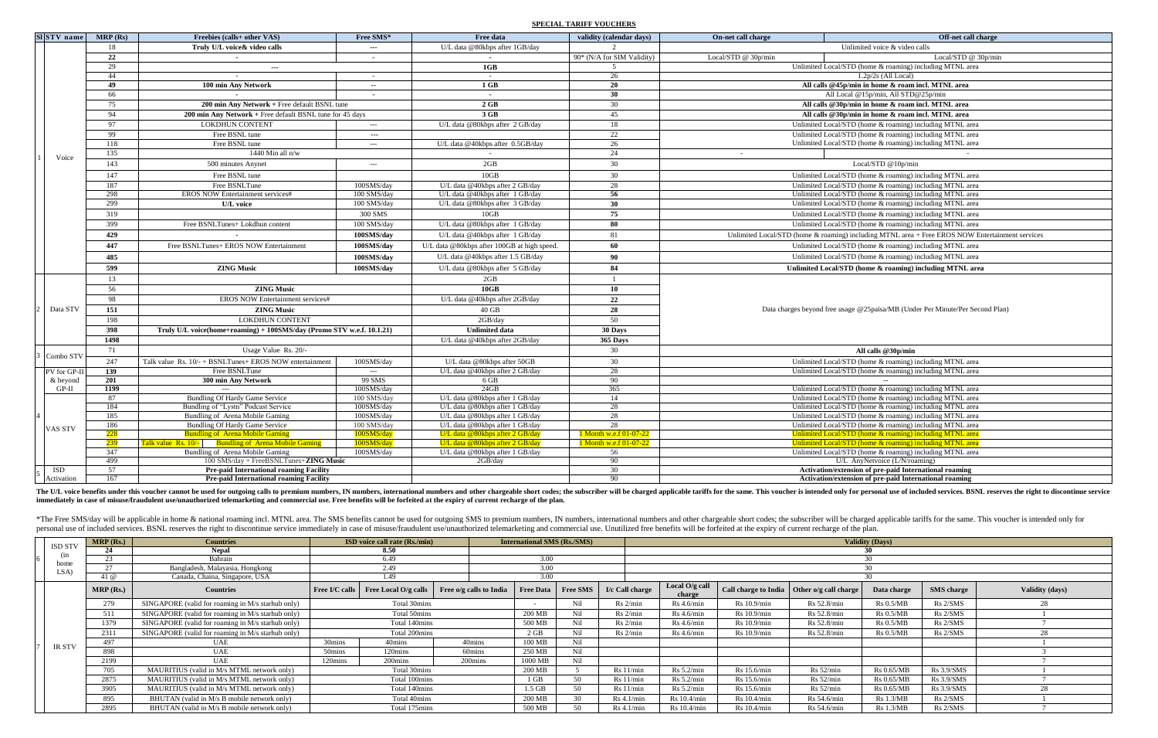### **SPECIAL TARIFF VOUCHERS**

| $SI STV$ name  | MRP(Rs)    | Freebies (calls+ other VAS)                                                                   | Free SMS*                                   | Free data                                                          | validity (calendar days)   | On-net call charge                                                            | Off-net call charge                                                                                                  |  |  |  |  |  |
|----------------|------------|-----------------------------------------------------------------------------------------------|---------------------------------------------|--------------------------------------------------------------------|----------------------------|-------------------------------------------------------------------------------|----------------------------------------------------------------------------------------------------------------------|--|--|--|--|--|
|                | 18         | Truly U/L voice & video calls                                                                 | ---                                         | U/L data @80kbps after 1GB/day                                     |                            |                                                                               | Unlimited voice & video calls                                                                                        |  |  |  |  |  |
|                | 22         | $\sim$ $-$                                                                                    | $\sim$                                      |                                                                    | 90* (N/A for SIM Validity) | Local/STD @ 30p/min                                                           | Local/STD @ 30p/min                                                                                                  |  |  |  |  |  |
|                | 29         | $\sim$ $\sim$                                                                                 |                                             | 1GB                                                                |                            |                                                                               | Unlimited Local/STD (home & roaming) including MTNL area                                                             |  |  |  |  |  |
|                | 44         |                                                                                               | $\sim$                                      |                                                                    | 26                         |                                                                               | $1.2p/2s$ (All Local)                                                                                                |  |  |  |  |  |
|                | 49         | 100 min Any Network                                                                           | $\sim$                                      | $1$ GB                                                             | 20                         |                                                                               | All calls @45p/min in home & roam incl. MTNL area                                                                    |  |  |  |  |  |
|                | 66         |                                                                                               | $\sim$                                      |                                                                    | 30                         |                                                                               | All Local @15p/min, All STD@25p/min                                                                                  |  |  |  |  |  |
|                | 75         | 200 min Any Network + Free default BSNL tune                                                  |                                             | $2 \text{ GB}$                                                     | 30                         |                                                                               | All calls @30p/min in home & roam incl. MTNL area                                                                    |  |  |  |  |  |
|                | 94         | 200 min Any Network + Free default BSNL tune for $45$ days                                    |                                             | 3 GB                                                               | 45                         |                                                                               | All calls @30p/min in home & roam incl. MTNL area                                                                    |  |  |  |  |  |
|                | 97         | <b>LOKDHUN CONTENT</b>                                                                        | $\scriptstyle \cdots$ $\scriptstyle \cdots$ | U/L data @80kbps after 2 GB/day                                    | 18                         |                                                                               | Unlimited Local/STD (home & roaming) including MTNL area                                                             |  |  |  |  |  |
|                | 99         | Free BSNL tune                                                                                | $--$                                        |                                                                    | 22                         |                                                                               | Unlimited Local/STD (home & roaming) including MTNL area                                                             |  |  |  |  |  |
|                | 118        | Free BSNL tune                                                                                | $---$                                       | U/L data @40kbps after 0.5GB/day                                   | 26                         |                                                                               | Unlimited Local/STD (home & roaming) including MTNL area                                                             |  |  |  |  |  |
| Voice          | 135        | 1440 Min all $n/w$                                                                            |                                             |                                                                    | 24                         | $\sim$                                                                        |                                                                                                                      |  |  |  |  |  |
|                | 143        | 500 minutes Anynet                                                                            | $\qquad \qquad - -$                         | 2GB                                                                | 30                         |                                                                               | Local/STD @10p/min                                                                                                   |  |  |  |  |  |
|                | 147        | Free BSNL tune                                                                                |                                             | 10GB                                                               | 30                         |                                                                               | Unlimited Local/STD (home & roaming) including MTNL area                                                             |  |  |  |  |  |
|                | 187        | Free BSNLTune                                                                                 | 100SMS/day                                  | U/L data @40kbps after 2 GB/day                                    | 28                         |                                                                               | Unlimited Local/STD (home & roaming) including MTNL area                                                             |  |  |  |  |  |
|                | 298        | <b>EROS NOW Entertainment services#</b>                                                       | 100 SMS/day                                 | U/L data @40kbps after 1 GB/day                                    | 56                         |                                                                               | Unlimited Local/STD (home & roaming) including MTNL area                                                             |  |  |  |  |  |
|                | 299        | U/L voice                                                                                     | 100 SMS/day                                 | U/L data @80kbps after 3 GB/day                                    | 30                         |                                                                               | Unlimited Local/STD (home & roaming) including MTNL area                                                             |  |  |  |  |  |
|                | 319        |                                                                                               | 300 SMS                                     | 10GB                                                               | 75                         |                                                                               | Unlimited Local/STD (home & roaming) including MTNL area                                                             |  |  |  |  |  |
|                | 399        | Free BSNLTunes+ Lokdhun content                                                               | 100 SMS/day                                 | U/L data @80kbps after 1 GB/day                                    | 80                         |                                                                               | Unlimited Local/STD (home & roaming) including MTNL area                                                             |  |  |  |  |  |
|                | 429        |                                                                                               | 100SMS/day                                  | U/L data @40kbps after 1 GB/day                                    | 81                         |                                                                               | Unlimited Local/STD (home & roaming) including MTNL area + Free EROS NOW Entertainment services                      |  |  |  |  |  |
|                | 447        | Free BSNLTunes+ EROS NOW Entertainment                                                        | 100SMS/day                                  | U/L data @80kbps after 100GB at high speed.                        | 60                         |                                                                               | Unlimited Local/STD (home & roaming) including MTNL area                                                             |  |  |  |  |  |
|                | 485        |                                                                                               | 100SMS/day                                  | U/L data @40kbps after 1.5 GB/day                                  | 90                         |                                                                               | Unlimited Local/STD (home & roaming) including MTNL area                                                             |  |  |  |  |  |
|                | 599        | <b>ZING Music</b>                                                                             | 100SMS/day                                  | U/L data @80kbps after 5 GB/day                                    | 84                         |                                                                               | Unlimited Local/STD (home & roaming) including MTNL area                                                             |  |  |  |  |  |
|                | 13         |                                                                                               |                                             | 2GB                                                                |                            |                                                                               |                                                                                                                      |  |  |  |  |  |
|                | 56         | <b>ZING Music</b>                                                                             |                                             | 10GB                                                               | 10                         |                                                                               |                                                                                                                      |  |  |  |  |  |
|                | 98         | <b>EROS NOW Entertainment services#</b>                                                       |                                             | U/L data @40kbps after 2GB/day                                     | 22                         |                                                                               |                                                                                                                      |  |  |  |  |  |
| Data STV       | 151        | <b>ZING Music</b>                                                                             |                                             | $40$ GB                                                            | 28                         | Data charges beyond free usage @25paisa/MB (Under Per Minute/Per Second Plan) |                                                                                                                      |  |  |  |  |  |
|                | 198        | <b>LOKDHUN CONTENT</b>                                                                        |                                             | 2GB/day                                                            | 50                         |                                                                               |                                                                                                                      |  |  |  |  |  |
|                | 398        | Truly U/L voice(home+roaming) + 100SMS/day (Promo STV w.e.f. 10.1.21)                         |                                             | <b>Unlimited data</b>                                              | 30 Days                    |                                                                               |                                                                                                                      |  |  |  |  |  |
|                | 1498       |                                                                                               |                                             | U/L data @40kbps after 2GB/day                                     | 365 Days                   |                                                                               |                                                                                                                      |  |  |  |  |  |
| 3 Combo STV    | 71         | Usage Value Rs. 20/-                                                                          |                                             |                                                                    | 30                         |                                                                               | All calls $@30p/min$                                                                                                 |  |  |  |  |  |
|                | 247        | Talk value Rs. $10/- + BSNLT$ unes+ EROS NOW entertainment                                    | 100SMS/day                                  | U/L data @80kbps after 50GB                                        | 30                         |                                                                               | Unlimited Local/STD (home & roaming) including MTNL area                                                             |  |  |  |  |  |
| $PV$ for GP-II | 139        | Free BSNLTune                                                                                 | $---$                                       | U/L data @40kbps after 2 GB/day                                    | 28                         |                                                                               | Unlimited Local/STD (home & roaming) including MTNL area                                                             |  |  |  |  |  |
| & beyond       | 201        | 300 min Any Network                                                                           | 99 SMS                                      | 6 GB                                                               | 90                         |                                                                               |                                                                                                                      |  |  |  |  |  |
| $GP-II$        | 1199       |                                                                                               | 100SMS/day                                  | 24GB                                                               | 365                        |                                                                               | Unlimited Local/STD (home & roaming) including MTNL area                                                             |  |  |  |  |  |
|                | 87         | <b>Bundling Of Hardy Game Service</b>                                                         | 100 SMS/day                                 | U/L data @80kbps after 1 GB/day                                    | 14                         |                                                                               | Unlimited Local/STD (home & roaming) including MTNL area                                                             |  |  |  |  |  |
|                | 184        | Bundling of "Lystn" Podcast Service                                                           | 100SMS/day                                  | U/L data @80kbps after 1 GB/day                                    | 28                         |                                                                               | Unlimited Local/STD (home & roaming) including MTNL area                                                             |  |  |  |  |  |
|                | 185        | Bundling of Arena Mobile Gaming                                                               | 100SMS/day                                  | U/L data @80kbps after 1 GB/day                                    | 28<br>28                   |                                                                               | Unlimited Local/STD (home & roaming) including MTNL area                                                             |  |  |  |  |  |
| <b>VAS STV</b> | 186        | Bundling Of Hardy Game Service                                                                | 100 SMS/day                                 | U/L data @80kbps after 1 GB/day                                    | 1 Month w.e.f 01-07-22     |                                                                               | Unlimited Local/STD (home & roaming) including MTNL area                                                             |  |  |  |  |  |
|                | 228<br>239 | <b>Bundling of Arena Mobile Gaming</b><br>Talk value Rs. 10/- Bundling of Arena Mobile Gaming | 100SMS/day<br>100SMS/day                    | U/L data @80kbps after 2 GB/day<br>U/L data @80kbps after 2 GB/day | 1 Month w.e.f 01-07-22     |                                                                               | Unlimited Local/STD (home & roaming) including MTNL area<br>Unlimited Local/STD (home & roaming) including MTNL area |  |  |  |  |  |
|                | 347        | Bundling of Arena Mobile Gaming                                                               | 100SMS/day                                  | U/L data @80kbps after 1 GB/day                                    | 56                         |                                                                               | Unlimited Local/STD (home & roaming) including MTNL area                                                             |  |  |  |  |  |
|                | 499        | 100 SMS/day + FreeBSNLTunes+ZING Music                                                        |                                             | 2GB/day                                                            | 90                         |                                                                               | U/L AnyNetvoice (L/N/roaming)                                                                                        |  |  |  |  |  |
| ISD            | 57         | <b>Pre-paid International roaming Facility</b>                                                |                                             |                                                                    | 30                         |                                                                               | Activation/extension of pre-paid International roaming                                                               |  |  |  |  |  |
| Activation     | 167        | <b>Pre-paid International roaming Facility</b>                                                |                                             |                                                                    | 90                         |                                                                               | Activation/extension of pre-paid International roaming                                                               |  |  |  |  |  |

The U/L voice benefits under this voucher cannot be used for outgoing calls to premium numbers, IN numbers, international numbers and other chargeable short codes; the subscriber will be charged applicable tariffs for the **immediately in case of misuse/fraudulent use/unauthorized telemarketing and commercial use. Free benefits will be forfeited at the expiry of current recharge of the plan.**

\*The Free SMS/day will be applicable in home & national roaming incl. MTNL area. The SMS benefits cannot be used for outgoing SMS to premium numbers, IN numbers and other chargeable short codes; the subscriber will be char personal use of included services. BSNL reserves the right to discontinue service immediately in case of misuse/fraudulent use/unauthorized telemarketing and commercial use. Unutilized free benefits will be forfeited at th

|                | MRP(Rs.) | <b>Countries</b>                                  |                    | <b>ISD</b> voice call rate (Rs./min)       |                         | <b>International SMS (Rs./SMS)</b> |                 |                 | <b>Validity (Days)</b>     |                             |                       |                   |                   |                        |  |
|----------------|----------|---------------------------------------------------|--------------------|--------------------------------------------|-------------------------|------------------------------------|-----------------|-----------------|----------------------------|-----------------------------|-----------------------|-------------------|-------------------|------------------------|--|
| <b>ISD STV</b> | 24       | <b>Nepal</b>                                      |                    | 8.50                                       |                         |                                    |                 |                 |                            |                             |                       |                   |                   |                        |  |
| (1n<br>home    | 23       | Bahrain                                           |                    | 6.49                                       |                         |                                    | 3.00            |                 |                            |                             |                       |                   |                   |                        |  |
| LSA)           | 27       | Bangladesh, Malayasia, Hongkong                   |                    | 2.49                                       |                         | 3.00                               |                 |                 |                            |                             |                       |                   |                   |                        |  |
|                | 41 $@$   | Canada, Chaina, Singapore, USA                    |                    | 1.49                                       |                         | 3.00                               |                 |                 |                            |                             |                       |                   |                   |                        |  |
|                | MRP(Rs.) | <b>Countries</b>                                  |                    | <b>Free I/C calls</b> Free Local O/g calls | Free o/g calls to India | <b>Free Data</b>                   | <b>Free SMS</b> | I/c Call charge | Local $O/g$ call<br>charge | <b>Call charge to India</b> | Other o/g call charge | Data charge       | <b>SMS</b> charge | <b>Validity (days)</b> |  |
|                | 279      | SINGAPORE (valid for roaming in M/s starhub only) |                    | Total 30mins                               |                         |                                    | N <sub>il</sub> | Rs 2/min        | $Rs$ 4.6/min               | Rs 10.9/min                 | Rs 52.8/min           | Rs 0.5/MB         | Rs 2/SMS          | 28                     |  |
|                | 511      | SINGAPORE (valid for roaming in M/s starhub only) |                    | Total 50mins                               |                         | 200 MB                             | N <sub>i</sub>  | Rs 2/min        | $Rs\ 4.6/min$              | Rs 10.9/min                 | Rs 52.8/min           | $Rs\ 0.5/MB$      | Rs 2/SMS          |                        |  |
|                | 1379     | SINGAPORE (valid for roaming in M/s starhub only) |                    | Total 140mins                              |                         | 500 MB                             |                 | Rs 2/min        | $Rs\ 4.6/min$              | Rs 10.9/min                 | Rs 52.8/min           | $Rs\ 0.5/MB$      | Rs 2/SMS          |                        |  |
|                | 2311     | SINGAPORE (valid for roaming in M/s starhub only) |                    | Total 200mins                              |                         | $2$ GB                             |                 | Rs 2/min        | $Rs\ 4.6/min$              | Rs 10.9/min                 | Rs 52.8/min           | Rs 0.5/MB         | Rs 2/SMS          |                        |  |
| <b>IR STV</b>  | 497      | <b>UAE</b>                                        | 30mins             | 40mins                                     | 40mins                  | 100 MB                             |                 |                 |                            |                             |                       |                   |                   |                        |  |
|                | 898      | <b>UAE</b>                                        | 50 <sub>mins</sub> | 120mins                                    | 60mins                  | 250 MB                             |                 |                 |                            |                             |                       |                   |                   |                        |  |
|                | 2199     | <b>UAE</b>                                        | 120mins            | 200mins                                    | 200mins                 | 1000 MB                            |                 |                 |                            |                             |                       |                   |                   |                        |  |
|                | 705      | MAURITIUS (valid in M/s MTML network only)        |                    | Total 30mins                               |                         | 200 MB                             |                 | Rs 11/min       | Rs 5.2/min                 | Rs 15.6/min                 | Rs 52/min             | <b>Rs 0.65/MB</b> | $Rs\ 3.9/SMS$     |                        |  |
|                | 2875     | MAURITIUS (valid in M/s MTML network only)        |                    | Total 100mins                              |                         |                                    | 50              | Rs 11/min       | Rs 5.2/min                 | $Rs$ 15.6/min               | Rs 52/min             | <b>Rs</b> 0.65/MB | Rs 3.9/SMS        |                        |  |
|                | 3905     | MAURITIUS (valid in M/s MTML network only)        | Total 140mins      |                                            |                         | $1.5$ GB                           | 50              | Rs 11/min       | Rs 5.2/min                 | $Rs$ 15.6/min               | Rs 52/min             | Rs 0.65/MB        | $Rs\ 3.9/SMS$     |                        |  |
|                | 895      | BHUTAN (valid in M/s B mobile network only)       |                    | Total 40mins                               |                         | 200 MB                             | $30^{\circ}$    | $Rs$ 4.1/min    | Rs 10.4/min                | Rs 10.4/min                 | Rs 54.6/min           | $Rs\ 1.3/MB$      | Rs 2/SMS          |                        |  |
|                | 2895     | BHUTAN (valid in M/s B mobile network only)       |                    | Total 175mins                              |                         | 500 MB                             |                 | $Rs\ 4.1/min$   | $Rs$ 10.4/min              | Rs 10.4/min                 | Rs 54.6/min           | $Rs\ 1.3/MB$      | Rs 2/SMS          |                        |  |